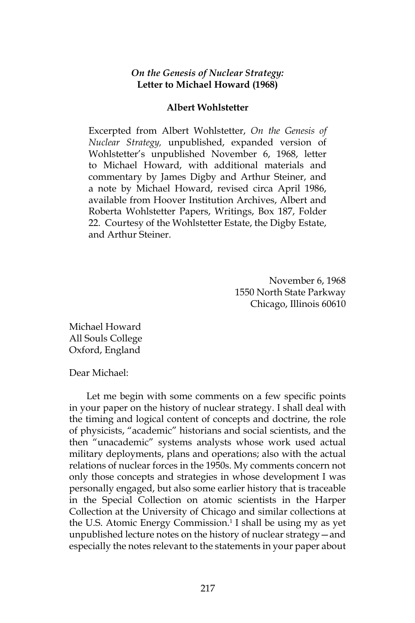## *On the Genesis of Nuclear Strategy:* **Letter to Michael Howard (1968)**

### **Albert Wohlstetter**

Excerpted from Albert Wohlstetter, *On the Genesis of Nuclear Strategy,* unpublished, expanded version of Wohlstetter's unpublished November 6, 1968, letter to Michael Howard, with additional materials and commentary by James Digby and Arthur Steiner, and a note by Michael Howard, revised circa April 1986, available from Hoover Institution Archives, Albert and Roberta Wohlstetter Papers, Writings, Box 187, Folder 22. Courtesy of the Wohlstetter Estate, the Digby Estate, and Arthur Steiner.

> November 6, 1968 1550 North State Parkway Chicago, Illinois 60610

Michael Howard All Souls College Oxford, England

Dear Michael:

Let me begin with some comments on a few specific points in your paper on the history of nuclear strategy. I shall deal with the timing and logical content of concepts and doctrine, the role of physicists, "academic" historians and social scientists, and the then "unacademic" systems analysts whose work used actual military deployments, plans and operations; also with the actual relations of nuclear forces in the 1950s. My comments concern not only those concepts and strategies in whose development I was personally engaged, but also some earlier history that is traceable in the Special Collection on atomic scientists in the Harper Collection at the University of Chicago and similar collections at the U.S. Atomic Energy Commission.<sup>1</sup> I shall be using my as yet unpublished lecture notes on the history of nuclear strategy—and especially the notes relevant to the statements in your paper about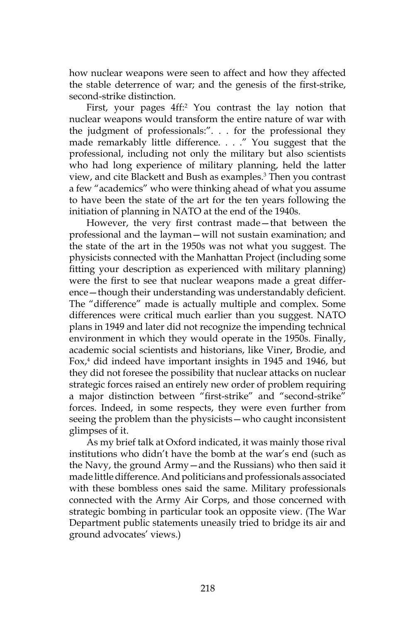how nuclear weapons were seen to affect and how they affected the stable deterrence of war; and the genesis of the first-strike, second-strike distinction.

First, your pages 4ff:2 You contrast the lay notion that nuclear weapons would transform the entire nature of war with the judgment of professionals:". . . for the professional they made remarkably little difference. . . ." You suggest that the professional, including not only the military but also scientists who had long experience of military planning, held the latter view, and cite Blackett and Bush as examples.<sup>3</sup> Then you contrast a few "academics" who were thinking ahead of what you assume to have been the state of the art for the ten years following the initiation of planning in NATO at the end of the 1940s.

However, the very first contrast made—that between the professional and the layman—will not sustain examination; and the state of the art in the 1950s was not what you suggest. The physicists connected with the Manhattan Project (including some fitting your description as experienced with military planning) were the first to see that nuclear weapons made a great difference—though their understanding was understandably deficient. The "difference" made is actually multiple and complex. Some differences were critical much earlier than you suggest. NATO plans in 1949 and later did not recognize the impending technical environment in which they would operate in the 1950s. Finally, academic social scientists and historians, like Viner, Brodie, and Fox,4 did indeed have important insights in 1945 and 1946, but they did not foresee the possibility that nuclear attacks on nuclear strategic forces raised an entirely new order of problem requiring a major distinction between "first-strike" and "second-strike" forces. Indeed, in some respects, they were even further from seeing the problem than the physicists—who caught inconsistent glimpses of it.

As my brief talk at Oxford indicated, it was mainly those rival institutions who didn't have the bomb at the war's end (such as the Navy, the ground Army—and the Russians) who then said it made little difference. And politicians and professionals associated with these bombless ones said the same. Military professionals connected with the Army Air Corps, and those concerned with strategic bombing in particular took an opposite view. (The War Department public statements uneasily tried to bridge its air and ground advocates' views.)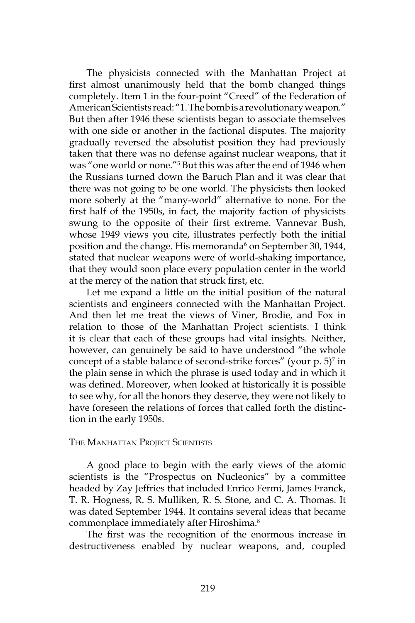The physicists connected with the Manhattan Project at first almost unanimously held that the bomb changed things completely. Item 1 in the four-point "Creed" of the Federation of American Scientists read: "1. The bomb is a revolutionary weapon." But then after 1946 these scientists began to associate themselves with one side or another in the factional disputes. The majority gradually reversed the absolutist position they had previously taken that there was no defense against nuclear weapons, that it was "one world or none."5 But this was after the end of 1946 when the Russians turned down the Baruch Plan and it was clear that there was not going to be one world. The physicists then looked more soberly at the "many-world" alternative to none. For the first half of the 1950s, in fact, the majority faction of physicists swung to the opposite of their first extreme. Vannevar Bush, whose 1949 views you cite, illustrates perfectly both the initial position and the change. His memoranda<sup>6</sup> on September 30, 1944, stated that nuclear weapons were of world-shaking importance, that they would soon place every population center in the world at the mercy of the nation that struck first, etc.

Let me expand a little on the initial position of the natural scientists and engineers connected with the Manhattan Project. And then let me treat the views of Viner, Brodie, and Fox in relation to those of the Manhattan Project scientists. I think it is clear that each of these groups had vital insights. Neither, however, can genuinely be said to have understood "the whole concept of a stable balance of second-strike forces" (your p. 5)7 in the plain sense in which the phrase is used today and in which it was defined. Moreover, when looked at historically it is possible to see why, for all the honors they deserve, they were not likely to have foreseen the relations of forces that called forth the distinction in the early 1950s.

### The Manhattan Project Scientists

A good place to begin with the early views of the atomic scientists is the "Prospectus on Nucleonics" by a committee headed by Zay Jeffries that included Enrico Fermi, James Franck, T. R. Hogness, R. S. Mulliken, R. S. Stone, and C. A. Thomas. It was dated September 1944. It contains several ideas that became commonplace immediately after Hiroshima.8

The first was the recognition of the enormous increase in destructiveness enabled by nuclear weapons, and, coupled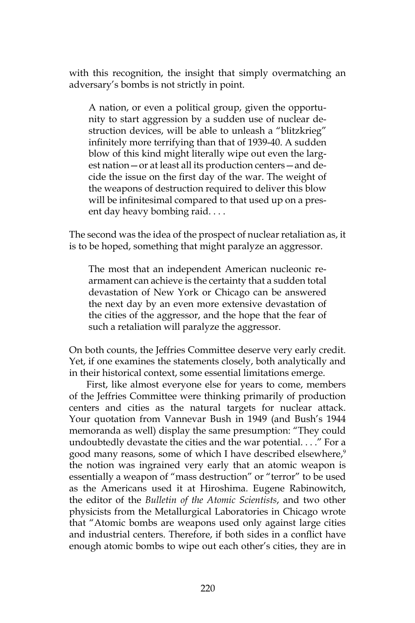with this recognition, the insight that simply overmatching an adversary's bombs is not strictly in point.

A nation, or even a political group, given the opportunity to start aggression by a sudden use of nuclear destruction devices, will be able to unleash a "blitzkrieg" infinitely more terrifying than that of 1939-40. A sudden blow of this kind might literally wipe out even the largest nation—or at least all its production centers—and decide the issue on the first day of the war. The weight of the weapons of destruction required to deliver this blow will be infinitesimal compared to that used up on a present day heavy bombing raid. . . .

The second was the idea of the prospect of nuclear retaliation as, it is to be hoped, something that might paralyze an aggressor.

The most that an independent American nucleonic rearmament can achieve is the certainty that a sudden total devastation of New York or Chicago can be answered the next day by an even more extensive devastation of the cities of the aggressor, and the hope that the fear of such a retaliation will paralyze the aggressor.

On both counts, the Jeffries Committee deserve very early credit. Yet, if one examines the statements closely, both analytically and in their historical context, some essential limitations emerge.

First, like almost everyone else for years to come, members of the Jeffries Committee were thinking primarily of production centers and cities as the natural targets for nuclear attack. Your quotation from Vannevar Bush in 1949 (and Bush's 1944 memoranda as well) display the same presumption: "They could undoubtedly devastate the cities and the war potential. . . ." For a good many reasons, some of which I have described elsewhere,<sup>9</sup> the notion was ingrained very early that an atomic weapon is essentially a weapon of "mass destruction" or "terror" to be used as the Americans used it at Hiroshima. Eugene Rabinowitch, the editor of the *Bulletin of the Atomic Scientists*, and two other physicists from the Metallurgical Laboratories in Chicago wrote that "Atomic bombs are weapons used only against large cities and industrial centers. Therefore, if both sides in a conflict have enough atomic bombs to wipe out each other's cities, they are in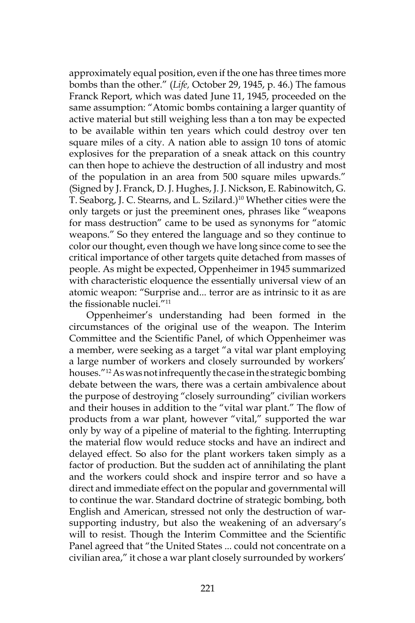approximately equal position, even if the one has three times more bombs than the other." (*Life,* October 29, 1945, p. 46.) The famous Franck Report, which was dated June 11, 1945, proceeded on the same assumption: "Atomic bombs containing a larger quantity of active material but still weighing less than a ton may be expected to be available within ten years which could destroy over ten square miles of a city. A nation able to assign 10 tons of atomic explosives for the preparation of a sneak attack on this country can then hope to achieve the destruction of all industry and most of the population in an area from 500 square miles upwards." (Signed by J. Franck, D. J. Hughes, J. J. Nickson, E. Rabinowitch, G. T. Seaborg, J. C. Stearns, and L. Szilard.)10 Whether cities were the only targets or just the preeminent ones, phrases like "weapons for mass destruction" came to be used as synonyms for "atomic weapons." So they entered the language and so they continue to color our thought, even though we have long since come to see the critical importance of other targets quite detached from masses of people. As might be expected, Oppenheimer in 1945 summarized with characteristic eloquence the essentially universal view of an atomic weapon: "Surprise and... terror are as intrinsic to it as are the fissionable nuclei."<sup>11</sup>

Oppenheimer's understanding had been formed in the circumstances of the original use of the weapon. The Interim Committee and the Scientific Panel, of which Oppenheimer was a member, were seeking as a target "a vital war plant employing a large number of workers and closely surrounded by workers' houses."12 As was not infrequently the case in the strategic bombing debate between the wars, there was a certain ambivalence about the purpose of destroying "closely surrounding" civilian workers and their houses in addition to the "vital war plant." The flow of products from a war plant, however "vital," supported the war only by way of a pipeline of material to the fighting. Interrupting the material flow would reduce stocks and have an indirect and delayed effect. So also for the plant workers taken simply as a factor of production. But the sudden act of annihilating the plant and the workers could shock and inspire terror and so have a direct and immediate effect on the popular and governmental will to continue the war. Standard doctrine of strategic bombing, both English and American, stressed not only the destruction of warsupporting industry, but also the weakening of an adversary's will to resist. Though the Interim Committee and the Scientific Panel agreed that "the United States ... could not concentrate on a civilian area," it chose a war plant closely surrounded by workers'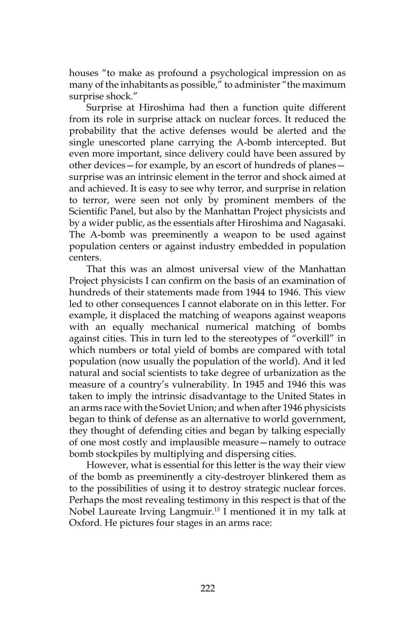houses "to make as profound a psychological impression on as many of the inhabitants as possible," to administer "the maximum surprise shock."

Surprise at Hiroshima had then a function quite different from its role in surprise attack on nuclear forces. It reduced the probability that the active defenses would be alerted and the single unescorted plane carrying the A-bomb intercepted. But even more important, since delivery could have been assured by other devices—for example, by an escort of hundreds of planes surprise was an intrinsic element in the terror and shock aimed at and achieved. It is easy to see why terror, and surprise in relation to terror, were seen not only by prominent members of the Scientific Panel, but also by the Manhattan Project physicists and by a wider public, as the essentials after Hiroshima and Nagasaki. The A-bomb was preeminently a weapon to be used against population centers or against industry embedded in population centers.

That this was an almost universal view of the Manhattan Project physicists I can confirm on the basis of an examination of hundreds of their statements made from 1944 to 1946. This view led to other consequences I cannot elaborate on in this letter. For example, it displaced the matching of weapons against weapons with an equally mechanical numerical matching of bombs against cities. This in turn led to the stereotypes of "overkill" in which numbers or total yield of bombs are compared with total population (now usually the population of the world). And it led natural and social scientists to take degree of urbanization as the measure of a country's vulnerability. In 1945 and 1946 this was taken to imply the intrinsic disadvantage to the United States in an arms race with the Soviet Union; and when after 1946 physicists began to think of defense as an alternative to world government, they thought of defending cities and began by talking especially of one most costly and implausible measure—namely to outrace bomb stockpiles by multiplying and dispersing cities.

However, what is essential for this letter is the way their view of the bomb as preeminently a city-destroyer blinkered them as to the possibilities of using it to destroy strategic nuclear forces. Perhaps the most revealing testimony in this respect is that of the Nobel Laureate Irving Langmuir.13 I mentioned it in my talk at Oxford. He pictures four stages in an arms race: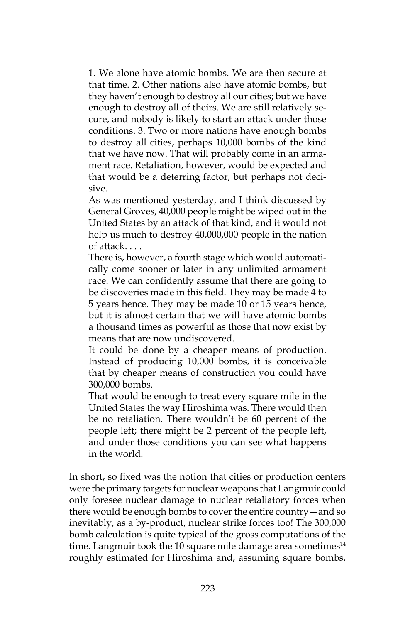1. We alone have atomic bombs. We are then secure at that time. 2. Other nations also have atomic bombs, but they haven't enough to destroy all our cities; but we have enough to destroy all of theirs. We are still relatively secure, and nobody is likely to start an attack under those conditions. 3. Two or more nations have enough bombs to destroy all cities, perhaps 10,000 bombs of the kind that we have now. That will probably come in an armament race. Retaliation, however, would be expected and that would be a deterring factor, but perhaps not decisive.

As was mentioned yesterday, and I think discussed by General Groves, 40,000 people might be wiped out in the United States by an attack of that kind, and it would not help us much to destroy 40,000,000 people in the nation of attack. . . .

There is, however, a fourth stage which would automatically come sooner or later in any unlimited armament race. We can confidently assume that there are going to be discoveries made in this field. They may be made 4 to 5 years hence. They may be made 10 or 15 years hence, but it is almost certain that we will have atomic bombs a thousand times as powerful as those that now exist by means that are now undiscovered.

It could be done by a cheaper means of production. Instead of producing 10,000 bombs, it is conceivable that by cheaper means of construction you could have 300,000 bombs.

That would be enough to treat every square mile in the United States the way Hiroshima was. There would then be no retaliation. There wouldn't be 60 percent of the people left; there might be 2 percent of the people left, and under those conditions you can see what happens in the world.

In short, so fixed was the notion that cities or production centers were the primary targets for nuclear weapons that Langmuir could only foresee nuclear damage to nuclear retaliatory forces when there would be enough bombs to cover the entire country—and so inevitably, as a by-product, nuclear strike forces too! The 300,000 bomb calculation is quite typical of the gross computations of the time. Langmuir took the 10 square mile damage area sometimes $14$ roughly estimated for Hiroshima and, assuming square bombs,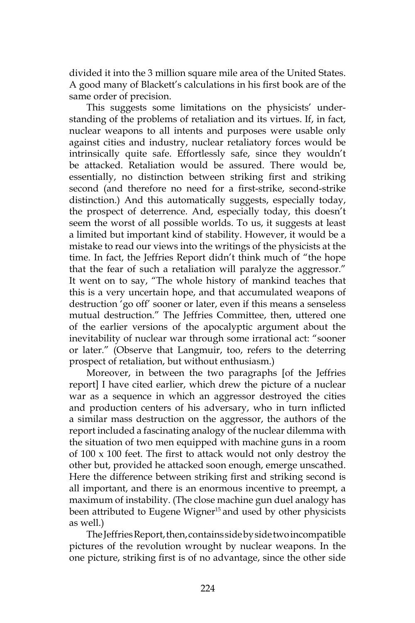divided it into the 3 million square mile area of the United States. A good many of Blackett's calculations in his first book are of the same order of precision.

This suggests some limitations on the physicists' understanding of the problems of retaliation and its virtues. If, in fact, nuclear weapons to all intents and purposes were usable only against cities and industry, nuclear retaliatory forces would be intrinsically quite safe. Effortlessly safe, since they wouldn't be attacked. Retaliation would be assured. There would be, essentially, no distinction between striking first and striking second (and therefore no need for a first-strike, second-strike distinction.) And this automatically suggests, especially today, the prospect of deterrence. And, especially today, this doesn't seem the worst of all possible worlds. To us, it suggests at least a limited but important kind of stability. However, it would be a mistake to read our views into the writings of the physicists at the time. In fact, the Jeffries Report didn't think much of "the hope that the fear of such a retaliation will paralyze the aggressor." It went on to say, "The whole history of mankind teaches that this is a very uncertain hope, and that accumulated weapons of destruction 'go off' sooner or later, even if this means a senseless mutual destruction." The Jeffries Committee, then, uttered one of the earlier versions of the apocalyptic argument about the inevitability of nuclear war through some irrational act: "sooner or later." (Observe that Langmuir, too, refers to the deterring prospect of retaliation, but without enthusiasm.)

Moreover, in between the two paragraphs [of the Jeffries report] I have cited earlier, which drew the picture of a nuclear war as a sequence in which an aggressor destroyed the cities and production centers of his adversary, who in turn inflicted a similar mass destruction on the aggressor, the authors of the report included a fascinating analogy of the nuclear dilemma with the situation of two men equipped with machine guns in a room of 100 x 100 feet. The first to attack would not only destroy the other but, provided he attacked soon enough, emerge unscathed. Here the difference between striking first and striking second is all important, and there is an enormous incentive to preempt, a maximum of instability. (The close machine gun duel analogy has been attributed to Eugene Wigner<sup>15</sup> and used by other physicists as well.)

The Jeffries Report, then, contains side by side two incompatible pictures of the revolution wrought by nuclear weapons. In the one picture, striking first is of no advantage, since the other side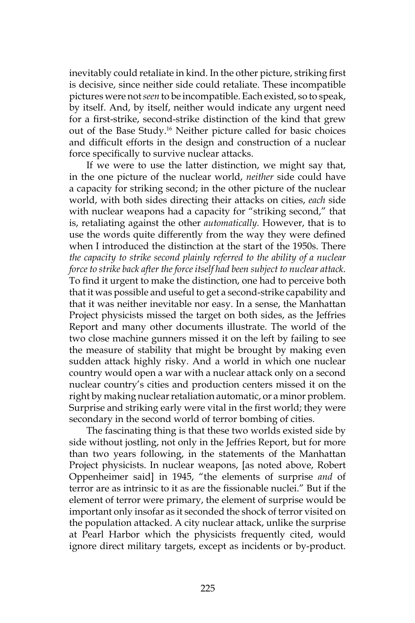inevitably could retaliate in kind. In the other picture, striking first is decisive, since neither side could retaliate. These incompatible pictures were not *seen* to be incompatible. Each existed, so to speak, by itself. And, by itself, neither would indicate any urgent need for a first-strike, second-strike distinction of the kind that grew out of the Base Study.16 Neither picture called for basic choices and difficult efforts in the design and construction of a nuclear force specifically to survive nuclear attacks.

If we were to use the latter distinction, we might say that, in the one picture of the nuclear world, *neither* side could have a capacity for striking second; in the other picture of the nuclear world, with both sides directing their attacks on cities, *each* side with nuclear weapons had a capacity for "striking second," that is, retaliating against the other *automatically.* However, that is to use the words quite differently from the way they were defined when I introduced the distinction at the start of the 1950s. There *the capacity to strike second plainly referred to the ability of a nuclear force to strike back after the force itself had been subject to nuclear attack.*  To find it urgent to make the distinction, one had to perceive both that it was possible and useful to get a second-strike capability and that it was neither inevitable nor easy. In a sense, the Manhattan Project physicists missed the target on both sides, as the Jeffries Report and many other documents illustrate. The world of the two close machine gunners missed it on the left by failing to see the measure of stability that might be brought by making even sudden attack highly risky. And a world in which one nuclear country would open a war with a nuclear attack only on a second nuclear country's cities and production centers missed it on the right by making nuclear retaliation automatic, or a minor problem. Surprise and striking early were vital in the first world; they were secondary in the second world of terror bombing of cities.

The fascinating thing is that these two worlds existed side by side without jostling, not only in the Jeffries Report, but for more than two years following, in the statements of the Manhattan Project physicists. In nuclear weapons, [as noted above, Robert Oppenheimer said] in 1945, "the elements of surprise *and* of terror are as intrinsic to it as are the fissionable nuclei." But if the element of terror were primary, the element of surprise would be important only insofar as it seconded the shock of terror visited on the population attacked. A city nuclear attack, unlike the surprise at Pearl Harbor which the physicists frequently cited, would ignore direct military targets, except as incidents or by-product.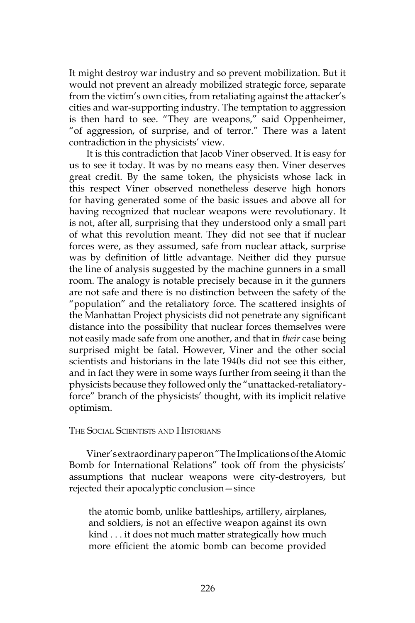It might destroy war industry and so prevent mobilization. But it would not prevent an already mobilized strategic force, separate from the victim's own cities, from retaliating against the attacker's cities and war-supporting industry. The temptation to aggression is then hard to see. "They are weapons," said Oppenheimer, "of aggression, of surprise, and of terror." There was a latent contradiction in the physicists' view.

It is this contradiction that Jacob Viner observed. It is easy for us to see it today. It was by no means easy then. Viner deserves great credit. By the same token, the physicists whose lack in this respect Viner observed nonetheless deserve high honors for having generated some of the basic issues and above all for having recognized that nuclear weapons were revolutionary. It is not, after all, surprising that they understood only a small part of what this revolution meant. They did not see that if nuclear forces were, as they assumed, safe from nuclear attack, surprise was by definition of little advantage. Neither did they pursue the line of analysis suggested by the machine gunners in a small room. The analogy is notable precisely because in it the gunners are not safe and there is no distinction between the safety of the "population" and the retaliatory force. The scattered insights of the Manhattan Project physicists did not penetrate any significant distance into the possibility that nuclear forces themselves were not easily made safe from one another, and that in *their* case being surprised might be fatal. However, Viner and the other social scientists and historians in the late 1940s did not see this either, and in fact they were in some ways further from seeing it than the physicists because they followed only the "unattacked-retaliatoryforce" branch of the physicists' thought, with its implicit relative optimism.

### The Social Scientists and Historians

Viner's extraordinary paper on "The Implications of the Atomic Bomb for International Relations" took off from the physicists' assumptions that nuclear weapons were city-destroyers, but rejected their apocalyptic conclusion—since

the atomic bomb, unlike battleships, artillery, airplanes, and soldiers, is not an effective weapon against its own kind . . . it does not much matter strategically how much more efficient the atomic bomb can become provided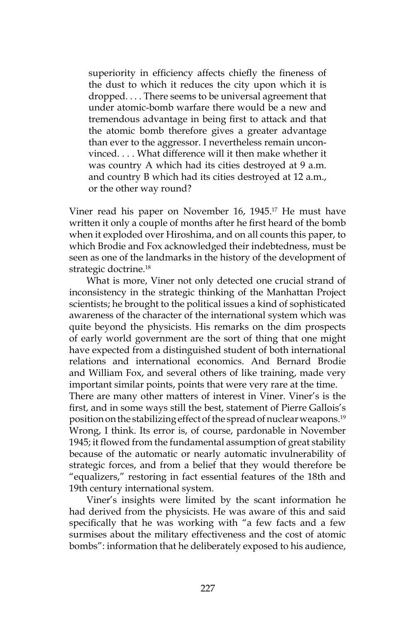superiority in efficiency affects chiefly the fineness of the dust to which it reduces the city upon which it is dropped. . . . There seems to be universal agreement that under atomic-bomb warfare there would be a new and tremendous advantage in being first to attack and that the atomic bomb therefore gives a greater advantage than ever to the aggressor. I nevertheless remain unconvinced. . . . What difference will it then make whether it was country A which had its cities destroyed at 9 a.m. and country B which had its cities destroyed at 12 a.m., or the other way round?

Viner read his paper on November 16, 1945.17 He must have written it only a couple of months after he first heard of the bomb when it exploded over Hiroshima, and on all counts this paper, to which Brodie and Fox acknowledged their indebtedness, must be seen as one of the landmarks in the history of the development of strategic doctrine.<sup>18</sup>

What is more, Viner not only detected one crucial strand of inconsistency in the strategic thinking of the Manhattan Project scientists; he brought to the political issues a kind of sophisticated awareness of the character of the international system which was quite beyond the physicists. His remarks on the dim prospects of early world government are the sort of thing that one might have expected from a distinguished student of both international relations and international economics. And Bernard Brodie and William Fox, and several others of like training, made very important similar points, points that were very rare at the time. There are many other matters of interest in Viner. Viner's is the

first, and in some ways still the best, statement of Pierre Gallois's position on the stabilizing effect of the spread of nuclear weapons.<sup>19</sup> Wrong, I think. Its error is, of course, pardonable in November 1945; it flowed from the fundamental assumption of great stability because of the automatic or nearly automatic invulnerability of strategic forces, and from a belief that they would therefore be "equalizers," restoring in fact essential features of the 18th and 19th century international system.

Viner's insights were limited by the scant information he had derived from the physicists. He was aware of this and said specifically that he was working with "a few facts and a few surmises about the military effectiveness and the cost of atomic bombs": information that he deliberately exposed to his audience,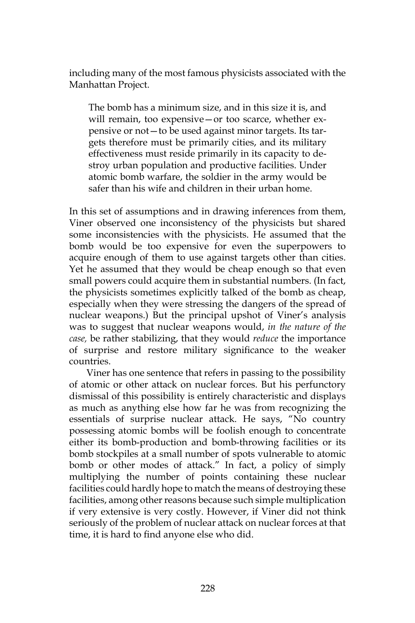including many of the most famous physicists associated with the Manhattan Project.

The bomb has a minimum size, and in this size it is, and will remain, too expensive—or too scarce, whether expensive or not—to be used against minor targets. Its targets therefore must be primarily cities, and its military effectiveness must reside primarily in its capacity to destroy urban population and productive facilities. Under atomic bomb warfare, the soldier in the army would be safer than his wife and children in their urban home.

In this set of assumptions and in drawing inferences from them, Viner observed one inconsistency of the physicists but shared some inconsistencies with the physicists. He assumed that the bomb would be too expensive for even the superpowers to acquire enough of them to use against targets other than cities. Yet he assumed that they would be cheap enough so that even small powers could acquire them in substantial numbers. (In fact, the physicists sometimes explicitly talked of the bomb as cheap, especially when they were stressing the dangers of the spread of nuclear weapons.) But the principal upshot of Viner's analysis was to suggest that nuclear weapons would, *in the nature of the case,* be rather stabilizing, that they would *reduce* the importance of surprise and restore military significance to the weaker countries.

Viner has one sentence that refers in passing to the possibility of atomic or other attack on nuclear forces. But his perfunctory dismissal of this possibility is entirely characteristic and displays as much as anything else how far he was from recognizing the essentials of surprise nuclear attack. He says, "No country possessing atomic bombs will be foolish enough to concentrate either its bomb-production and bomb-throwing facilities or its bomb stockpiles at a small number of spots vulnerable to atomic bomb or other modes of attack." In fact, a policy of simply multiplying the number of points containing these nuclear facilities could hardly hope to match the means of destroying these facilities, among other reasons because such simple multiplication if very extensive is very costly. However, if Viner did not think seriously of the problem of nuclear attack on nuclear forces at that time, it is hard to find anyone else who did.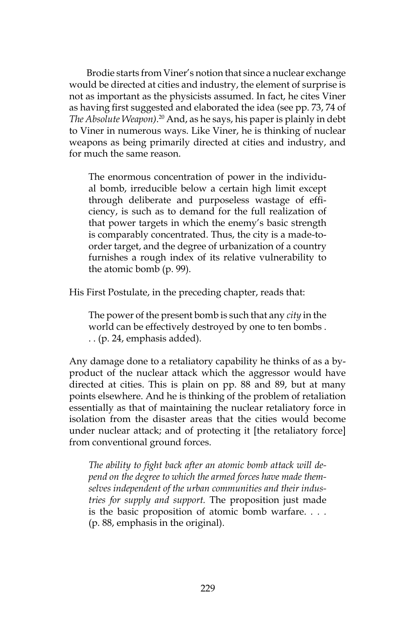Brodie starts from Viner's notion that since a nuclear exchange would be directed at cities and industry, the element of surprise is not as important as the physicists assumed. In fact, he cites Viner as having first suggested and elaborated the idea (see pp. 73, 74 of *The Absolute Weapon)*. 20 And, as he says, his paper is plainly in debt to Viner in numerous ways. Like Viner, he is thinking of nuclear weapons as being primarily directed at cities and industry, and for much the same reason.

The enormous concentration of power in the individual bomb, irreducible below a certain high limit except through deliberate and purposeless wastage of efficiency, is such as to demand for the full realization of that power targets in which the enemy's basic strength is comparably concentrated. Thus, the city is a made-toorder target, and the degree of urbanization of a country furnishes a rough index of its relative vulnerability to the atomic bomb (p. 99).

His First Postulate, in the preceding chapter, reads that:

The power of the present bomb is such that any *city* in the world can be effectively destroyed by one to ten bombs . . . (p. 24, emphasis added).

Any damage done to a retaliatory capability he thinks of as a byproduct of the nuclear attack which the aggressor would have directed at cities. This is plain on pp. 88 and 89, but at many points elsewhere. And he is thinking of the problem of retaliation essentially as that of maintaining the nuclear retaliatory force in isolation from the disaster areas that the cities would become under nuclear attack; and of protecting it [the retaliatory force] from conventional ground forces.

*The ability to fight back after an atomic bomb attack will depend on the degree to which the armed forces have made themselves independent of the urban communities and their industries for supply and support.* The proposition just made is the basic proposition of atomic bomb warfare. *. . .*  (p. 88, emphasis in the original).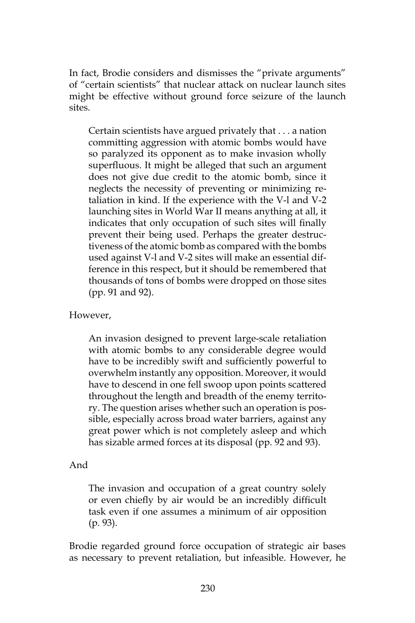In fact, Brodie considers and dismisses the "private arguments" of "certain scientists" that nuclear attack on nuclear launch sites might be effective without ground force seizure of the launch sites.

Certain scientists have argued privately that . . . a nation committing aggression with atomic bombs would have so paralyzed its opponent as to make invasion wholly superfluous. It might be alleged that such an argument does not give due credit to the atomic bomb, since it neglects the necessity of preventing or minimizing retaliation in kind. If the experience with the V-l and V-2 launching sites in World War II means anything at all, it indicates that only occupation of such sites will finally prevent their being used. Perhaps the greater destructiveness of the atomic bomb as compared with the bombs used against V-l and V-2 sites will make an essential difference in this respect, but it should be remembered that thousands of tons of bombs were dropped on those sites (pp. 91 and 92).

However,

An invasion designed to prevent large-scale retaliation with atomic bombs to any considerable degree would have to be incredibly swift and sufficiently powerful to overwhelm instantly any opposition. Moreover, it would have to descend in one fell swoop upon points scattered throughout the length and breadth of the enemy territory. The question arises whether such an operation is possible, especially across broad water barriers, against any great power which is not completely asleep and which has sizable armed forces at its disposal (pp. 92 and 93).

And

The invasion and occupation of a great country solely or even chiefly by air would be an incredibly difficult task even if one assumes a minimum of air opposition (p. 93).

Brodie regarded ground force occupation of strategic air bases as necessary to prevent retaliation, but infeasible. However, he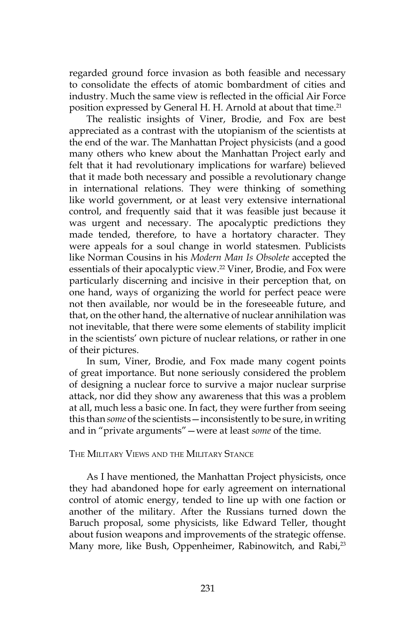regarded ground force invasion as both feasible and necessary to consolidate the effects of atomic bombardment of cities and industry. Much the same view is reflected in the official Air Force position expressed by General H. H. Arnold at about that time.<sup>21</sup>

The realistic insights of Viner, Brodie, and Fox are best appreciated as a contrast with the utopianism of the scientists at the end of the war. The Manhattan Project physicists (and a good many others who knew about the Manhattan Project early and felt that it had revolutionary implications for warfare) believed that it made both necessary and possible a revolutionary change in international relations. They were thinking of something like world government, or at least very extensive international control, and frequently said that it was feasible just because it was urgent and necessary. The apocalyptic predictions they made tended, therefore, to have a hortatory character. They were appeals for a soul change in world statesmen. Publicists like Norman Cousins in his *Modern Man Is Obsolete* accepted the essentials of their apocalyptic view.<sup>22</sup> Viner, Brodie, and Fox were particularly discerning and incisive in their perception that, on one hand, ways of organizing the world for perfect peace were not then available, nor would be in the foreseeable future, and that, on the other hand, the alternative of nuclear annihilation was not inevitable, that there were some elements of stability implicit in the scientists' own picture of nuclear relations, or rather in one of their pictures.

In sum, Viner, Brodie, and Fox made many cogent points of great importance. But none seriously considered the problem of designing a nuclear force to survive a major nuclear surprise attack, nor did they show any awareness that this was a problem at all, much less a basic one. In fact, they were further from seeing this than *some* of the scientists—inconsistently to be sure, in writing and in "private arguments"—were at least *some* of the time.

### The Military Views and the Military Stance

As I have mentioned, the Manhattan Project physicists, once they had abandoned hope for early agreement on international control of atomic energy, tended to line up with one faction or another of the military. After the Russians turned down the Baruch proposal, some physicists, like Edward Teller, thought about fusion weapons and improvements of the strategic offense. Many more, like Bush, Oppenheimer, Rabinowitch, and Rabi,<sup>23</sup>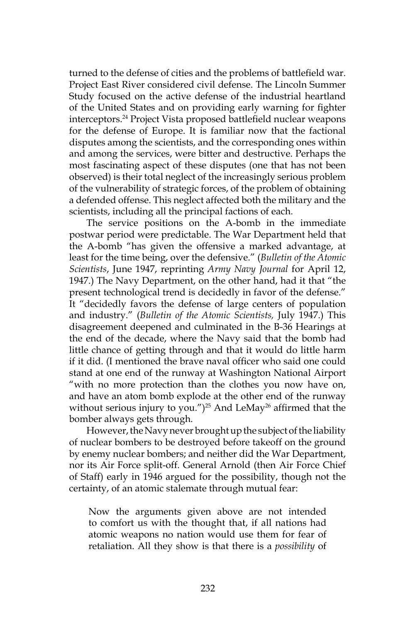turned to the defense of cities and the problems of battlefield war. Project East River considered civil defense. The Lincoln Summer Study focused on the active defense of the industrial heartland of the United States and on providing early warning for fighter interceptors.24 Project Vista proposed battlefield nuclear weapons for the defense of Europe. It is familiar now that the factional disputes among the scientists, and the corresponding ones within and among the services, were bitter and destructive. Perhaps the most fascinating aspect of these disputes (one that has not been observed) is their total neglect of the increasingly serious problem of the vulnerability of strategic forces, of the problem of obtaining a defended offense. This neglect affected both the military and the scientists, including all the principal factions of each.

The service positions on the A-bomb in the immediate postwar period were predictable. The War Department held that the A-bomb "has given the offensive a marked advantage, at least for the time being, over the defensive." (*Bulletin of the Atomic Scientists*, June 1947, reprinting *Army Navy Journal* for April 12, 1947.) The Navy Department, on the other hand, had it that "the present technological trend is decidedly in favor of the defense." It "decidedly favors the defense of large centers of population and industry." (*Bulletin of the Atomic Scientists,* July 1947.) This disagreement deepened and culminated in the B-36 Hearings at the end of the decade, where the Navy said that the bomb had little chance of getting through and that it would do little harm if it did. (I mentioned the brave naval officer who said one could stand at one end of the runway at Washington National Airport "with no more protection than the clothes you now have on, and have an atom bomb explode at the other end of the runway without serious injury to you.")<sup>25</sup> And LeMay<sup>26</sup> affirmed that the bomber always gets through.

However, the Navy never brought up the subject of the liability of nuclear bombers to be destroyed before takeoff on the ground by enemy nuclear bombers; and neither did the War Department, nor its Air Force split-off. General Arnold (then Air Force Chief of Staff) early in 1946 argued for the possibility, though not the certainty, of an atomic stalemate through mutual fear:

Now the arguments given above are not intended to comfort us with the thought that, if all nations had atomic weapons no nation would use them for fear of retaliation. All they show is that there is a *possibility* of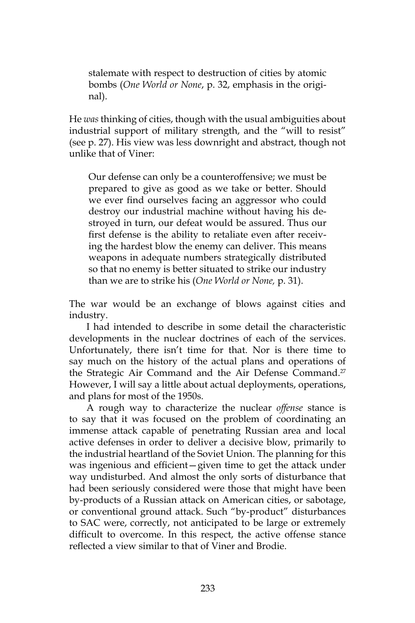stalemate with respect to destruction of cities by atomic bombs (*One World or None*, p. 32, emphasis in the original).

He *was* thinking of cities, though with the usual ambiguities about industrial support of military strength, and the "will to resist" (see p. 27). His view was less downright and abstract, though not unlike that of Viner:

Our defense can only be a counteroffensive; we must be prepared to give as good as we take or better. Should we ever find ourselves facing an aggressor who could destroy our industrial machine without having his destroyed in turn, our defeat would be assured. Thus our first defense is the ability to retaliate even after receiving the hardest blow the enemy can deliver. This means weapons in adequate numbers strategically distributed so that no enemy is better situated to strike our industry than we are to strike his (*One World or None,* p. 31).

The war would be an exchange of blows against cities and industry.

I had intended to describe in some detail the characteristic developments in the nuclear doctrines of each of the services. Unfortunately, there isn't time for that. Nor is there time to say much on the history of the actual plans and operations of the Strategic Air Command and the Air Defense Command.<sup>27</sup> However, I will say a little about actual deployments, operations, and plans for most of the 1950s.

A rough way to characterize the nuclear *offense* stance is to say that it was focused on the problem of coordinating an immense attack capable of penetrating Russian area and local active defenses in order to deliver a decisive blow, primarily to the industrial heartland of the Soviet Union. The planning for this was ingenious and efficient—given time to get the attack under way undisturbed. And almost the only sorts of disturbance that had been seriously considered were those that might have been by-products of a Russian attack on American cities, or sabotage, or conventional ground attack. Such "by-product" disturbances to SAC were, correctly, not anticipated to be large or extremely difficult to overcome. In this respect, the active offense stance reflected a view similar to that of Viner and Brodie.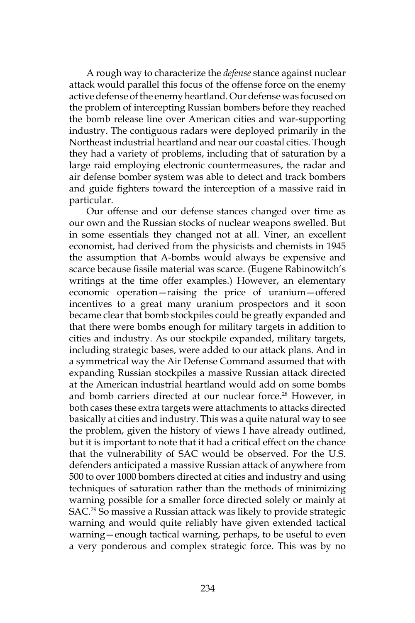A rough way to characterize the *defense* stance against nuclear attack would parallel this focus of the offense force on the enemy active defense of the enemy heartland. Our defense was focused on the problem of intercepting Russian bombers before they reached the bomb release line over American cities and war-supporting industry. The contiguous radars were deployed primarily in the Northeast industrial heartland and near our coastal cities. Though they had a variety of problems, including that of saturation by a large raid employing electronic countermeasures, the radar and air defense bomber system was able to detect and track bombers and guide fighters toward the interception of a massive raid in particular.

Our offense and our defense stances changed over time as our own and the Russian stocks of nuclear weapons swelled. But in some essentials they changed not at all. Viner, an excellent economist, had derived from the physicists and chemists in 1945 the assumption that A-bombs would always be expensive and scarce because fissile material was scarce. (Eugene Rabinowitch's writings at the time offer examples.) However, an elementary economic operation—raising the price of uranium—offered incentives to a great many uranium prospectors and it soon became clear that bomb stockpiles could be greatly expanded and that there were bombs enough for military targets in addition to cities and industry. As our stockpile expanded, military targets, including strategic bases, were added to our attack plans. And in a symmetrical way the Air Defense Command assumed that with expanding Russian stockpiles a massive Russian attack directed at the American industrial heartland would add on some bombs and bomb carriers directed at our nuclear force.<sup>28</sup> However, in both cases these extra targets were attachments to attacks directed basically at cities and industry. This was a quite natural way to see the problem, given the history of views I have already outlined, but it is important to note that it had a critical effect on the chance that the vulnerability of SAC would be observed. For the U.S. defenders anticipated a massive Russian attack of anywhere from 500 to over 1000 bombers directed at cities and industry and using techniques of saturation rather than the methods of minimizing warning possible for a smaller force directed solely or mainly at SAC.29 So massive a Russian attack was likely to provide strategic warning and would quite reliably have given extended tactical warning—enough tactical warning, perhaps, to be useful to even a very ponderous and complex strategic force. This was by no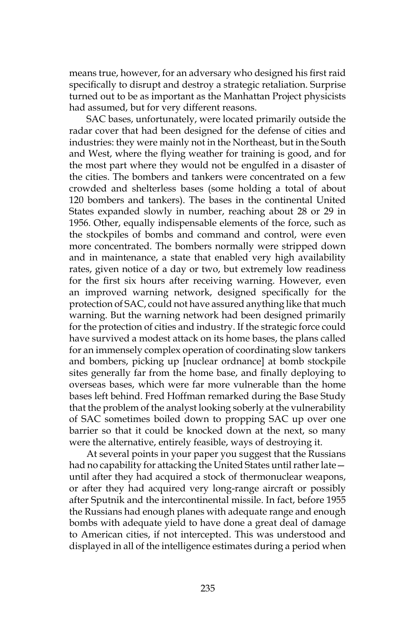means true, however, for an adversary who designed his first raid specifically to disrupt and destroy a strategic retaliation. Surprise turned out to be as important as the Manhattan Project physicists had assumed, but for very different reasons.

SAC bases, unfortunately, were located primarily outside the radar cover that had been designed for the defense of cities and industries: they were mainly not in the Northeast, but in the South and West, where the flying weather for training is good, and for the most part where they would not be engulfed in a disaster of the cities. The bombers and tankers were concentrated on a few crowded and shelterless bases (some holding a total of about 120 bombers and tankers). The bases in the continental United States expanded slowly in number, reaching about 28 or 29 in 1956. Other, equally indispensable elements of the force, such as the stockpiles of bombs and command and control, were even more concentrated. The bombers normally were stripped down and in maintenance, a state that enabled very high availability rates, given notice of a day or two, but extremely low readiness for the first six hours after receiving warning. However, even an improved warning network, designed specifically for the protection of SAC, could not have assured anything like that much warning. But the warning network had been designed primarily for the protection of cities and industry. If the strategic force could have survived a modest attack on its home bases, the plans called for an immensely complex operation of coordinating slow tankers and bombers, picking up [nuclear ordnance] at bomb stockpile sites generally far from the home base, and finally deploying to overseas bases, which were far more vulnerable than the home bases left behind. Fred Hoffman remarked during the Base Study that the problem of the analyst looking soberly at the vulnerability of SAC sometimes boiled down to propping SAC up over one barrier so that it could be knocked down at the next, so many were the alternative, entirely feasible, ways of destroying it.

At several points in your paper you suggest that the Russians had no capability for attacking the United States until rather late until after they had acquired a stock of thermonuclear weapons, or after they had acquired very long-range aircraft or possibly after Sputnik and the intercontinental missile. In fact, before 1955 the Russians had enough planes with adequate range and enough bombs with adequate yield to have done a great deal of damage to American cities, if not intercepted. This was understood and displayed in all of the intelligence estimates during a period when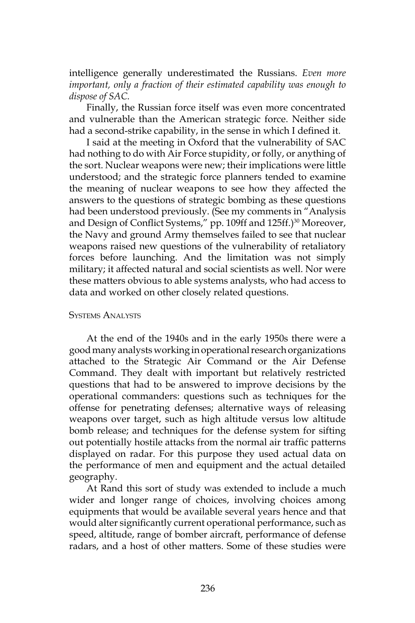intelligence generally underestimated the Russians. *Even more important, only a fraction of their estimated capability was enough to dispose of SAC.*

Finally, the Russian force itself was even more concentrated and vulnerable than the American strategic force. Neither side had a second-strike capability, in the sense in which I defined it.

I said at the meeting in Oxford that the vulnerability of SAC had nothing to do with Air Force stupidity, or folly, or anything of the sort. Nuclear weapons were new; their implications were little understood; and the strategic force planners tended to examine the meaning of nuclear weapons to see how they affected the answers to the questions of strategic bombing as these questions had been understood previously. (See my comments in "Analysis and Design of Conflict Systems," pp. 109ff and 125ff.)<sup>30</sup> Moreover, the Navy and ground Army themselves failed to see that nuclear weapons raised new questions of the vulnerability of retaliatory forces before launching. And the limitation was not simply military; it affected natural and social scientists as well. Nor were these matters obvious to able systems analysts, who had access to data and worked on other closely related questions.

#### Systems Analysts

At the end of the 1940s and in the early 1950s there were a good many analysts working in operational research organizations attached to the Strategic Air Command or the Air Defense Command. They dealt with important but relatively restricted questions that had to be answered to improve decisions by the operational commanders: questions such as techniques for the offense for penetrating defenses; alternative ways of releasing weapons over target, such as high altitude versus low altitude bomb release; and techniques for the defense system for sifting out potentially hostile attacks from the normal air traffic patterns displayed on radar. For this purpose they used actual data on the performance of men and equipment and the actual detailed geography.

At Rand this sort of study was extended to include a much wider and longer range of choices, involving choices among equipments that would be available several years hence and that would alter significantly current operational performance, such as speed, altitude, range of bomber aircraft, performance of defense radars, and a host of other matters. Some of these studies were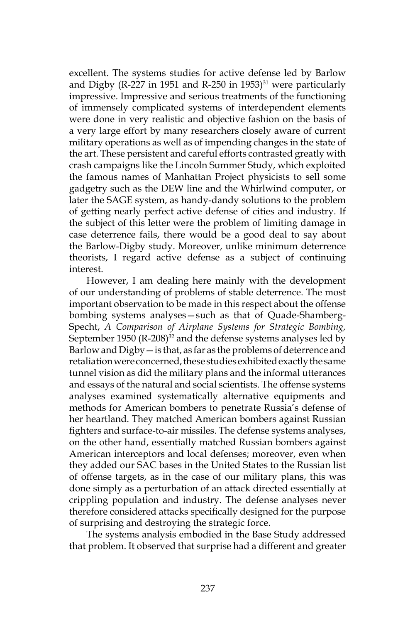excellent. The systems studies for active defense led by Barlow and Digby (R-227 in 1951 and R-250 in 1953) $31$  were particularly impressive. Impressive and serious treatments of the functioning of immensely complicated systems of interdependent elements were done in very realistic and objective fashion on the basis of a very large effort by many researchers closely aware of current military operations as well as of impending changes in the state of the art. These persistent and careful efforts contrasted greatly with crash campaigns like the Lincoln Summer Study, which exploited the famous names of Manhattan Project physicists to sell some gadgetry such as the DEW line and the Whirlwind computer, or later the SAGE system, as handy-dandy solutions to the problem of getting nearly perfect active defense of cities and industry. If the subject of this letter were the problem of limiting damage in case deterrence fails, there would be a good deal to say about the Barlow-Digby study. Moreover, unlike minimum deterrence theorists, I regard active defense as a subject of continuing interest.

However, I am dealing here mainly with the development of our understanding of problems of stable deterrence. The most important observation to be made in this respect about the offense bombing systems analyses—such as that of Quade-Shamberg-Specht, *A Comparison of Airplane Systems for Strategic Bombing,*  September 1950 ( $R-208$ )<sup>32</sup> and the defense systems analyses led by Barlow and Digby—is that, as far as the problems of deterrence and retaliation were concerned, these studies exhibited exactly the same tunnel vision as did the military plans and the informal utterances and essays of the natural and social scientists. The offense systems analyses examined systematically alternative equipments and methods for American bombers to penetrate Russia's defense of her heartland. They matched American bombers against Russian fighters and surface-to-air missiles. The defense systems analyses, on the other hand, essentially matched Russian bombers against American interceptors and local defenses; moreover, even when they added our SAC bases in the United States to the Russian list of offense targets, as in the case of our military plans, this was done simply as a perturbation of an attack directed essentially at crippling population and industry. The defense analyses never therefore considered attacks specifically designed for the purpose of surprising and destroying the strategic force.

The systems analysis embodied in the Base Study addressed that problem. It observed that surprise had a different and greater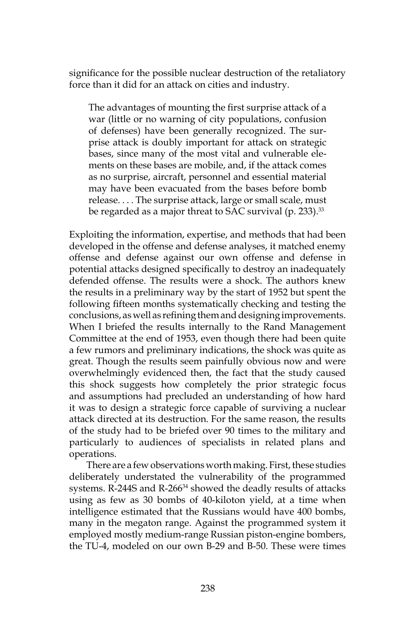significance for the possible nuclear destruction of the retaliatory force than it did for an attack on cities and industry.

The advantages of mounting the first surprise attack of a war (little or no warning of city populations, confusion of defenses) have been generally recognized. The surprise attack is doubly important for attack on strategic bases, since many of the most vital and vulnerable elements on these bases are mobile, and, if the attack comes as no surprise, aircraft, personnel and essential material may have been evacuated from the bases before bomb release. . . . The surprise attack, large or small scale, must be regarded as a major threat to SAC survival (p. 233).<sup>33</sup>

Exploiting the information, expertise, and methods that had been developed in the offense and defense analyses, it matched enemy offense and defense against our own offense and defense in potential attacks designed specifically to destroy an inadequately defended offense. The results were a shock. The authors knew the results in a preliminary way by the start of 1952 but spent the following fifteen months systematically checking and testing the conclusions, as well as refining them and designing improvements. When I briefed the results internally to the Rand Management Committee at the end of 1953, even though there had been quite a few rumors and preliminary indications, the shock was quite as great. Though the results seem painfully obvious now and were overwhelmingly evidenced then, the fact that the study caused this shock suggests how completely the prior strategic focus and assumptions had precluded an understanding of how hard it was to design a strategic force capable of surviving a nuclear attack directed at its destruction. For the same reason, the results of the study had to be briefed over 90 times to the military and particularly to audiences of specialists in related plans and operations.

There are a few observations worth making. First, these studies deliberately understated the vulnerability of the programmed systems. R-244S and R-266<sup>34</sup> showed the deadly results of attacks using as few as 30 bombs of 40-kiloton yield, at a time when intelligence estimated that the Russians would have 400 bombs, many in the megaton range. Against the programmed system it employed mostly medium-range Russian piston-engine bombers, the TU-4, modeled on our own B-29 and B-50. These were times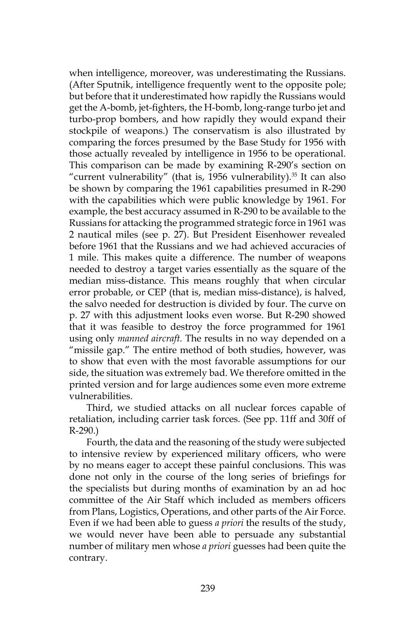when intelligence, moreover, was underestimating the Russians. (After Sputnik, intelligence frequently went to the opposite pole; but before that it underestimated how rapidly the Russians would get the A-bomb, jet-fighters, the H-bomb, long-range turbo jet and turbo-prop bombers, and how rapidly they would expand their stockpile of weapons.) The conservatism is also illustrated by comparing the forces presumed by the Base Study for 1956 with those actually revealed by intelligence in 1956 to be operational. This comparison can be made by examining R-290's section on "current vulnerability" (that is, 1956 vulnerability). $35$  It can also be shown by comparing the 1961 capabilities presumed in R-290 with the capabilities which were public knowledge by 1961. For example, the best accuracy assumed in R-290 to be available to the Russians for attacking the programmed strategic force in 1961 was 2 nautical miles (see p. 27). But President Eisenhower revealed before 1961 that the Russians and we had achieved accuracies of 1 mile. This makes quite a difference. The number of weapons needed to destroy a target varies essentially as the square of the median miss-distance. This means roughly that when circular error probable, or CEP (that is, median miss-distance), is halved, the salvo needed for destruction is divided by four. The curve on p. 27 with this adjustment looks even worse. But R-290 showed that it was feasible to destroy the force programmed for 1961 using only *manned aircraft.* The results in no way depended on a "missile gap." The entire method of both studies, however, was to show that even with the most favorable assumptions for our side, the situation was extremely bad. We therefore omitted in the printed version and for large audiences some even more extreme vulnerabilities.

Third, we studied attacks on all nuclear forces capable of retaliation, including carrier task forces. (See pp. 11ff and 30ff of R-290.)

Fourth, the data and the reasoning of the study were subjected to intensive review by experienced military officers, who were by no means eager to accept these painful conclusions. This was done not only in the course of the long series of briefings for the specialists but during months of examination by an ad hoc committee of the Air Staff which included as members officers from Plans, Logistics, Operations, and other parts of the Air Force. Even if we had been able to guess *a priori* the results of the study, we would never have been able to persuade any substantial number of military men whose *a priori* guesses had been quite the contrary.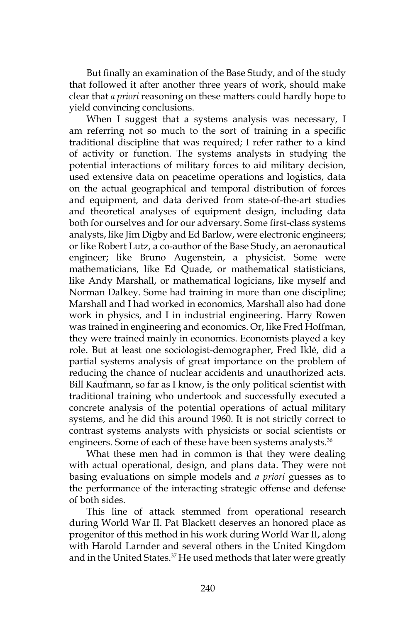But finally an examination of the Base Study, and of the study that followed it after another three years of work, should make clear that *a priori* reasoning on these matters could hardly hope to yield convincing conclusions.

When I suggest that a systems analysis was necessary, I am referring not so much to the sort of training in a specific traditional discipline that was required; I refer rather to a kind of activity or function. The systems analysts in studying the potential interactions of military forces to aid military decision, used extensive data on peacetime operations and logistics, data on the actual geographical and temporal distribution of forces and equipment, and data derived from state-of-the-art studies and theoretical analyses of equipment design, including data both for ourselves and for our adversary. Some first-class systems analysts, like Jim Digby and Ed Barlow, were electronic engineers; or like Robert Lutz, a co-author of the Base Study, an aeronautical engineer; like Bruno Augenstein, a physicist. Some were mathematicians, like Ed Quade, or mathematical statisticians, like Andy Marshall, or mathematical logicians, like myself and Norman Dalkey. Some had training in more than one discipline; Marshall and I had worked in economics, Marshall also had done work in physics, and I in industrial engineering. Harry Rowen was trained in engineering and economics. Or, like Fred Hoffman, they were trained mainly in economics. Economists played a key role. But at least one sociologist-demographer, Fred Iklé, did a partial systems analysis of great importance on the problem of reducing the chance of nuclear accidents and unauthorized acts. Bill Kaufmann, so far as I know, is the only political scientist with traditional training who undertook and successfully executed a concrete analysis of the potential operations of actual military systems, and he did this around 1960. It is not strictly correct to contrast systems analysts with physicists or social scientists or engineers. Some of each of these have been systems analysts.<sup>36</sup>

What these men had in common is that they were dealing with actual operational, design, and plans data. They were not basing evaluations on simple models and *a priori* guesses as to the performance of the interacting strategic offense and defense of both sides.

This line of attack stemmed from operational research during World War II. Pat Blackett deserves an honored place as progenitor of this method in his work during World War II, along with Harold Larnder and several others in the United Kingdom and in the United States.<sup>37</sup> He used methods that later were greatly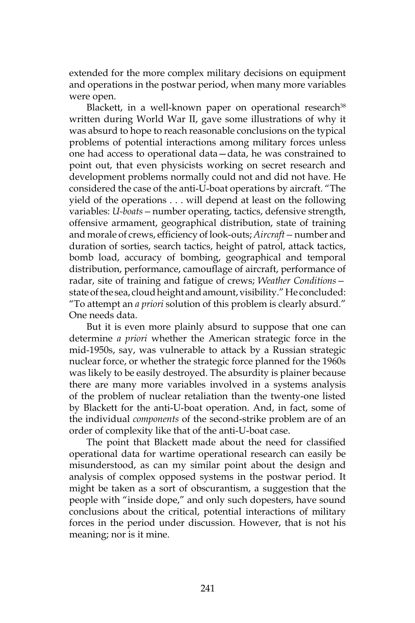extended for the more complex military decisions on equipment and operations in the postwar period, when many more variables were open.

Blackett, in a well-known paper on operational research<sup>38</sup> written during World War II, gave some illustrations of why it was absurd to hope to reach reasonable conclusions on the typical problems of potential interactions among military forces unless one had access to operational data—data, he was constrained to point out, that even physicists working on secret research and development problems normally could not and did not have. He considered the case of the anti-U-boat operations by aircraft. "The yield of the operations . . . will depend at least on the following variables: *U-boats—*number operating, tactics, defensive strength, offensive armament, geographical distribution, state of training and morale of crews, efficiency of look-outs; *Aircraft—*number and duration of sorties, search tactics, height of patrol, attack tactics, bomb load, accuracy of bombing, geographical and temporal distribution, performance, camouflage of aircraft, performance of radar, site of training and fatigue of crews; *Weather Conditions* state of the sea, cloud height and amount, visibility." He concluded: "To attempt an *a priori* solution of this problem is clearly absurd." One needs data.

But it is even more plainly absurd to suppose that one can determine *a priori* whether the American strategic force in the mid-1950s, say, was vulnerable to attack by a Russian strategic nuclear force, or whether the strategic force planned for the 1960s was likely to be easily destroyed. The absurdity is plainer because there are many more variables involved in a systems analysis of the problem of nuclear retaliation than the twenty-one listed by Blackett for the anti-U-boat operation. And, in fact, some of the individual *components* of the second-strike problem are of an order of complexity like that of the anti-U-boat case.

The point that Blackett made about the need for classified operational data for wartime operational research can easily be misunderstood, as can my similar point about the design and analysis of complex opposed systems in the postwar period. It might be taken as a sort of obscurantism, a suggestion that the people with "inside dope," and only such dopesters, have sound conclusions about the critical, potential interactions of military forces in the period under discussion. However, that is not his meaning; nor is it mine.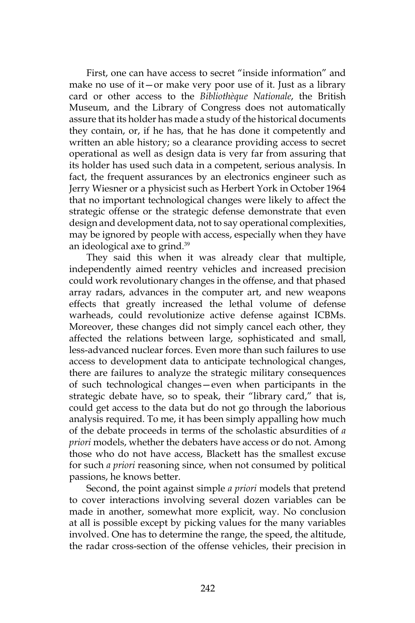First, one can have access to secret "inside information" and make no use of it—or make very poor use of it. Just as a library card or other access to the *Bibliothèque Nationale*, the British Museum, and the Library of Congress does not automatically assure that its holder has made a study of the historical documents they contain, or, if he has, that he has done it competently and written an able history; so a clearance providing access to secret operational as well as design data is very far from assuring that its holder has used such data in a competent, serious analysis. In fact, the frequent assurances by an electronics engineer such as Jerry Wiesner or a physicist such as Herbert York in October 1964 that no important technological changes were likely to affect the strategic offense or the strategic defense demonstrate that even design and development data, not to say operational complexities, may be ignored by people with access, especially when they have an ideological axe to grind.39

They said this when it was already clear that multiple, independently aimed reentry vehicles and increased precision could work revolutionary changes in the offense, and that phased array radars, advances in the computer art, and new weapons effects that greatly increased the lethal volume of defense warheads, could revolutionize active defense against ICBMs. Moreover, these changes did not simply cancel each other, they affected the relations between large, sophisticated and small, less-advanced nuclear forces. Even more than such failures to use access to development data to anticipate technological changes, there are failures to analyze the strategic military consequences of such technological changes—even when participants in the strategic debate have, so to speak, their "library card," that is, could get access to the data but do not go through the laborious analysis required. To me, it has been simply appalling how much of the debate proceeds in terms of the scholastic absurdities of *a priori* models, whether the debaters have access or do not. Among those who do not have access, Blackett has the smallest excuse for such *a priori* reasoning since, when not consumed by political passions, he knows better.

Second, the point against simple *a priori* models that pretend to cover interactions involving several dozen variables can be made in another, somewhat more explicit, way. No conclusion at all is possible except by picking values for the many variables involved. One has to determine the range, the speed, the altitude, the radar cross-section of the offense vehicles, their precision in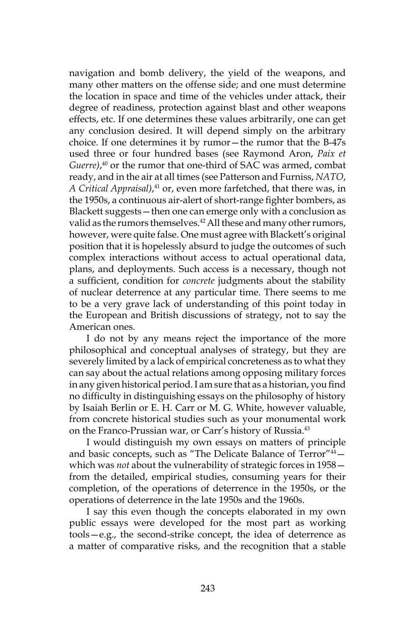navigation and bomb delivery, the yield of the weapons, and many other matters on the offense side; and one must determine the location in space and time of the vehicles under attack, their degree of readiness, protection against blast and other weapons effects, etc. If one determines these values arbitrarily, one can get any conclusion desired. It will depend simply on the arbitrary choice. If one determines it by rumor—the rumor that the B-47s used three or four hundred bases (see Raymond Aron, *Paix et Guerre)*, 40 or the rumor that one-third of SAC was armed, combat ready, and in the air at all times (see Patterson and Furniss, *NATO*, A Critical Appraisal),<sup>41</sup> or, even more farfetched, that there was, in the 1950s, a continuous air-alert of short-range fighter bombers, as Blackett suggests—then one can emerge only with a conclusion as valid as the rumors themselves.<sup>42</sup> All these and many other rumors, however, were quite false. One must agree with Blackett's original position that it is hopelessly absurd to judge the outcomes of such complex interactions without access to actual operational data, plans, and deployments. Such access is a necessary, though not a sufficient, condition for *concrete* judgments about the stability of nuclear deterrence at any particular time. There seems to me to be a very grave lack of understanding of this point today in the European and British discussions of strategy, not to say the American ones.

I do not by any means reject the importance of the more philosophical and conceptual analyses of strategy, but they are severely limited by a lack of empirical concreteness as to what they can say about the actual relations among opposing military forces in any given historical period. I am sure that as a historian, you find no difficulty in distinguishing essays on the philosophy of history by Isaiah Berlin or E. H. Carr or M. G. White, however valuable, from concrete historical studies such as your monumental work on the Franco-Prussian war, or Carr's history of Russia.43

I would distinguish my own essays on matters of principle and basic concepts, such as "The Delicate Balance of Terror"<sup>44</sup> – which was *not* about the vulnerability of strategic forces in 1958 from the detailed, empirical studies, consuming years for their completion, of the operations of deterrence in the 1950s, or the operations of deterrence in the late 1950s and the 1960s.

I say this even though the concepts elaborated in my own public essays were developed for the most part as working tools—e.g., the second-strike concept, the idea of deterrence as a matter of comparative risks, and the recognition that a stable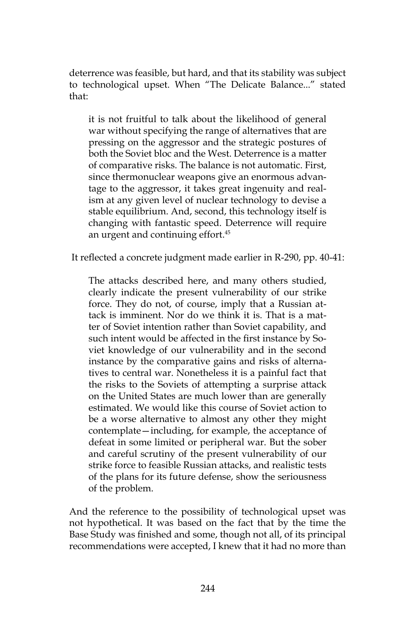deterrence was feasible, but hard, and that its stability was subject to technological upset. When "The Delicate Balance..." stated that:

it is not fruitful to talk about the likelihood of general war without specifying the range of alternatives that are pressing on the aggressor and the strategic postures of both the Soviet bloc and the West. Deterrence is a matter of comparative risks. The balance is not automatic. First, since thermonuclear weapons give an enormous advantage to the aggressor, it takes great ingenuity and realism at any given level of nuclear technology to devise a stable equilibrium. And, second, this technology itself is changing with fantastic speed. Deterrence will require an urgent and continuing effort.45

It reflected a concrete judgment made earlier in R-290, pp. 40-41:

The attacks described here, and many others studied, clearly indicate the present vulnerability of our strike force. They do not, of course, imply that a Russian attack is imminent. Nor do we think it is. That is a matter of Soviet intention rather than Soviet capability, and such intent would be affected in the first instance by Soviet knowledge of our vulnerability and in the second instance by the comparative gains and risks of alternatives to central war. Nonetheless it is a painful fact that the risks to the Soviets of attempting a surprise attack on the United States are much lower than are generally estimated. We would like this course of Soviet action to be a worse alternative to almost any other they might contemplate—including, for example, the acceptance of defeat in some limited or peripheral war. But the sober and careful scrutiny of the present vulnerability of our strike force to feasible Russian attacks, and realistic tests of the plans for its future defense, show the seriousness of the problem.

And the reference to the possibility of technological upset was not hypothetical. It was based on the fact that by the time the Base Study was finished and some, though not all, of its principal recommendations were accepted, I knew that it had no more than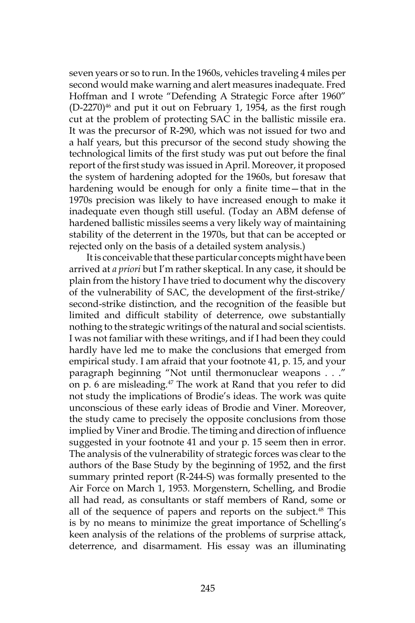seven years or so to run. In the 1960s, vehicles traveling 4 miles per second would make warning and alert measures inadequate. Fred Hoffman and I wrote "Defending A Strategic Force after 1960"  $(D-2270)^{46}$  and put it out on February 1, 1954, as the first rough cut at the problem of protecting SAC in the ballistic missile era. It was the precursor of R-290, which was not issued for two and a half years, but this precursor of the second study showing the technological limits of the first study was put out before the final report of the first study was issued in April. Moreover, it proposed the system of hardening adopted for the 1960s, but foresaw that hardening would be enough for only a finite time—that in the 1970s precision was likely to have increased enough to make it inadequate even though still useful. (Today an ABM defense of hardened ballistic missiles seems a very likely way of maintaining stability of the deterrent in the 1970s, but that can be accepted or rejected only on the basis of a detailed system analysis.)

It is conceivable that these particular concepts might have been arrived at *a priori* but I'm rather skeptical. In any case, it should be plain from the history I have tried to document why the discovery of the vulnerability of SAC, the development of the first-strike/ second-strike distinction, and the recognition of the feasible but limited and difficult stability of deterrence, owe substantially nothing to the strategic writings of the natural and social scientists. I was not familiar with these writings, and if I had been they could hardly have led me to make the conclusions that emerged from empirical study. I am afraid that your footnote 41, p. 15, and your paragraph beginning "Not until thermonuclear weapons . . ." on p. 6 are misleading.<sup>47</sup> The work at Rand that you refer to did not study the implications of Brodie's ideas. The work was quite unconscious of these early ideas of Brodie and Viner. Moreover, the study came to precisely the opposite conclusions from those implied by Viner and Brodie. The timing and direction of influence suggested in your footnote 41 and your p. 15 seem then in error. The analysis of the vulnerability of strategic forces was clear to the authors of the Base Study by the beginning of 1952, and the first summary printed report (R-244-S) was formally presented to the Air Force on March 1, 1953. Morgenstern, Schelling, and Brodie all had read, as consultants or staff members of Rand, some or all of the sequence of papers and reports on the subject.<sup>48</sup> This is by no means to minimize the great importance of Schelling's keen analysis of the relations of the problems of surprise attack, deterrence, and disarmament. His essay was an illuminating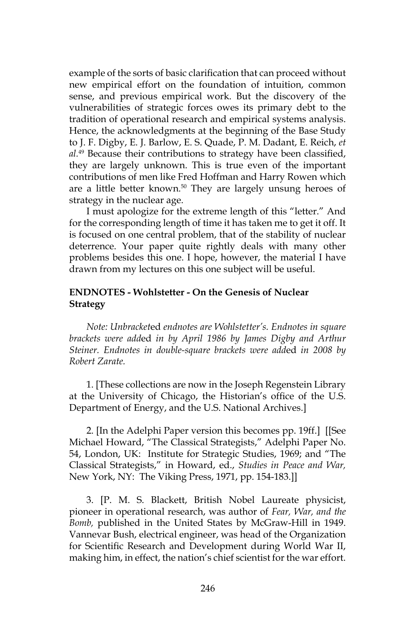example of the sorts of basic clarification that can proceed without new empirical effort on the foundation of intuition, common sense, and previous empirical work. But the discovery of the vulnerabilities of strategic forces owes its primary debt to the tradition of operational research and empirical systems analysis. Hence, the acknowledgments at the beginning of the Base Study to J. F. Digby, E. J. Barlow, E. S. Quade, P. M. Dadant, E. Reich, *et al.*<sup>49</sup> Because their contributions to strategy have been classified, they are largely unknown. This is true even of the important contributions of men like Fred Hoffman and Harry Rowen which are a little better known.<sup>50</sup> They are largely unsung heroes of strategy in the nuclear age.

I must apologize for the extreme length of this "letter." And for the corresponding length of time it has taken me to get it off. It is focused on one central problem, that of the stability of nuclear deterrence. Your paper quite rightly deals with many other problems besides this one. I hope, however, the material I have drawn from my lectures on this one subject will be useful.

# **ENDNOTES - Wohlstetter - On the Genesis of Nuclear Strategy**

*Note: Unbracket*ed *endnotes are Wohlstetter's. Endnotes in square brackets were add*ed *in by April 1986 by James Digby and Arthur Steiner. Endnotes in double-square brackets were add*ed *in 2008 by Robert Zarate.*

1. [These collections are now in the Joseph Regenstein Library at the University of Chicago, the Historian's office of the U.S. Department of Energy, and the U.S. National Archives.]

2. [In the Adelphi Paper version this becomes pp. 19ff.] [[See Michael Howard, "The Classical Strategists," Adelphi Paper No. 54, London, UK: Institute for Strategic Studies, 1969; and "The Classical Strategists," in Howard, ed., *Studies in Peace and War,*  New York, NY: The Viking Press, 1971, pp. 154-183.]]

3. [P. M. S. Blackett, British Nobel Laureate physicist, pioneer in operational research, was author of *Fear, War, and the Bomb,* published in the United States by McGraw-Hill in 1949. Vannevar Bush, electrical engineer, was head of the Organization for Scientific Research and Development during World War II, making him, in effect, the nation's chief scientist for the war effort.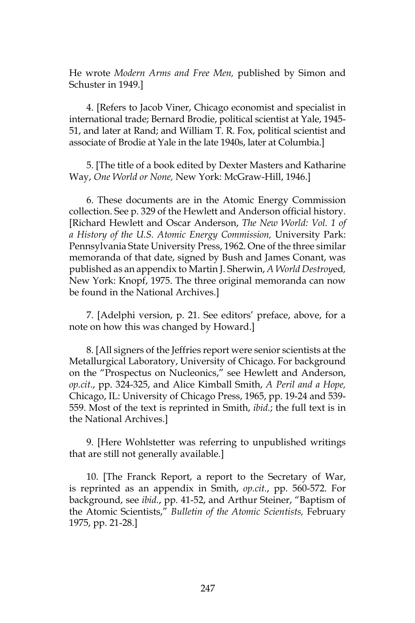He wrote *Modern Arms and Free Men,* published by Simon and Schuster in 1949.]

4. [Refers to Jacob Viner, Chicago economist and specialist in international trade; Bernard Brodie, political scientist at Yale, 1945- 51, and later at Rand; and William T. R. Fox, political scientist and associate of Brodie at Yale in the late 1940s, later at Columbia.]

5. [The title of a book edited by Dexter Masters and Katharine Way, *One World or None,* New York: McGraw-Hill, 1946.]

6. These documents are in the Atomic Energy Commission collection. See p. 329 of the Hewlett and Anderson official history. [Richard Hewlett and Oscar Anderson, *The New World: Vol. 1 of a History of the U.S. Atomic Energy Commission,* University Park: Pennsylvania State University Press, 1962. One of the three similar memoranda of that date, signed by Bush and James Conant, was published as an appendix to Martin J. Sherwin, *A World Destroy*ed*,*  New York: Knopf, 1975. The three original memoranda can now be found in the National Archives.]

7. [Adelphi version, p. 21. See editors' preface, above, for a note on how this was changed by Howard.]

8. [All signers of the Jeffries report were senior scientists at the Metallurgical Laboratory, University of Chicago. For background on the "Prospectus on Nucleonics," see Hewlett and Anderson, *op.cit*., pp. 324-325, and Alice Kimball Smith, *A Peril and a Hope,*  Chicago, IL: University of Chicago Press, 1965, pp. 19-24 and 539- 559. Most of the text is reprinted in Smith, *ibid.*; the full text is in the National Archives.]

9. [Here Wohlstetter was referring to unpublished writings that are still not generally available.]

10. [The Franck Report, a report to the Secretary of War, is reprinted as an appendix in Smith, *op.cit.*, pp. 560-572. For background, see *ibid.*, pp. 41-52, and Arthur Steiner, "Baptism of the Atomic Scientists," *Bulletin of the Atomic Scientists,* February 1975, pp. 21-28.]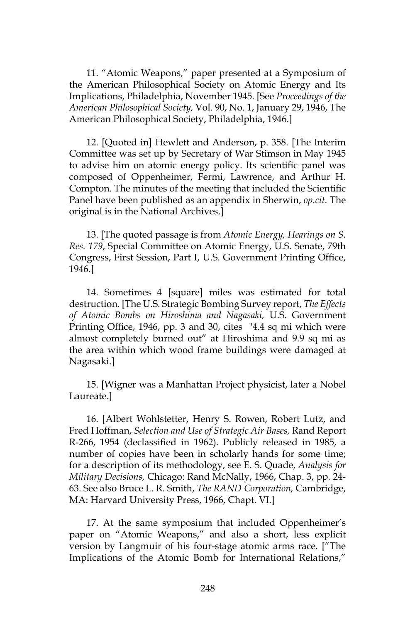11. "Atomic Weapons," paper presented at a Symposium of the American Philosophical Society on Atomic Energy and Its Implications, Philadelphia, November 1945. [See *Proceedings of the American Philosophical Society,* Vol. 90, No. 1, January 29, 1946, The American Philosophical Society, Philadelphia, 1946.]

12. [Quoted in] Hewlett and Anderson, p. 358. [The Interim Committee was set up by Secretary of War Stimson in May 1945 to advise him on atomic energy policy. Its scientific panel was composed of Oppenheimer, Fermi, Lawrence, and Arthur H. Compton. The minutes of the meeting that included the Scientific Panel have been published as an appendix in Sherwin, *op.cit.* The original is in the National Archives.]

13. [The quoted passage is from *Atomic Energy, Hearings on S. Res. 179*, Special Committee on Atomic Energy, U.S. Senate, 79th Congress, First Session, Part I, U.S. Government Printing Office, 1946.]

14. Sometimes 4 [square] miles was estimated for total destruction. [The U.S. Strategic Bombing Survey report, *The Effects of Atomic Bombs on Hiroshima and Nagasaki,* U.S. Government Printing Office, 1946, pp. 3 and 30, cites "4.4 sq mi which were almost completely burned out" at Hiroshima and 9.9 sq mi as the area within which wood frame buildings were damaged at Nagasaki.]

15. [Wigner was a Manhattan Project physicist, later a Nobel Laureate.]

16. [Albert Wohlstetter, Henry S. Rowen, Robert Lutz, and Fred Hoffman, *Selection and Use of Strategic Air Bases,* Rand Report R-266, 1954 (declassified in 1962). Publicly released in 1985, a number of copies have been in scholarly hands for some time; for a description of its methodology, see E. S. Quade, *Analysis for Military Decisions,* Chicago: Rand McNally, 1966, Chap. 3, pp. 24- 63. See also Bruce L. R. Smith, *The RAND Corporation,* Cambridge, MA: Harvard University Press, 1966, Chapt. VI.]

17. At the same symposium that included Oppenheimer's paper on "Atomic Weapons," and also a short, less explicit version by Langmuir of his four-stage atomic arms race. ["The Implications of the Atomic Bomb for International Relations,"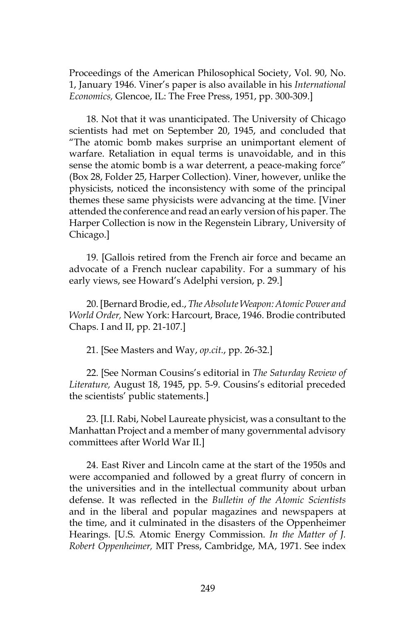Proceedings of the American Philosophical Society, Vol. 90, No. 1, January 1946. Viner's paper is also available in his *International Economics,* Glencoe, IL: The Free Press, 1951, pp. 300-309.]

18. Not that it was unanticipated. The University of Chicago scientists had met on September 20, 1945, and concluded that "The atomic bomb makes surprise an unimportant element of warfare. Retaliation in equal terms is unavoidable, and in this sense the atomic bomb is a war deterrent, a peace-making force" (Box 28, Folder 25, Harper Collection). Viner, however, unlike the physicists, noticed the inconsistency with some of the principal themes these same physicists were advancing at the time. [Viner attended the conference and read an early version of his paper. The Harper Collection is now in the Regenstein Library, University of Chicago.]

19. [Gallois retired from the French air force and became an advocate of a French nuclear capability. For a summary of his early views, see Howard's Adelphi version, p. 29.]

20. [Bernard Brodie, ed., *The Absolute Weapon: Atomic Power and World Order,* New York: Harcourt, Brace, 1946. Brodie contributed Chaps. I and II, pp. 21-107.]

21. [See Masters and Way, *op.cit.*, pp. 26-32.]

22. [See Norman Cousins's editorial in *The Saturday Review of Literature,* August 18, 1945, pp. 5-9. Cousins's editorial preceded the scientists' public statements.]

23. [I.I. Rabi, Nobel Laureate physicist, was a consultant to the Manhattan Project and a member of many governmental advisory committees after World War II.]

24. East River and Lincoln came at the start of the 1950s and were accompanied and followed by a great flurry of concern in the universities and in the intellectual community about urban defense. It was reflected in the *Bulletin of the Atomic Scientists*  and in the liberal and popular magazines and newspapers at the time, and it culminated in the disasters of the Oppenheimer Hearings. [U.S. Atomic Energy Commission. *In the Matter of J. Robert Oppenheimer,* MIT Press, Cambridge, MA, 1971. See index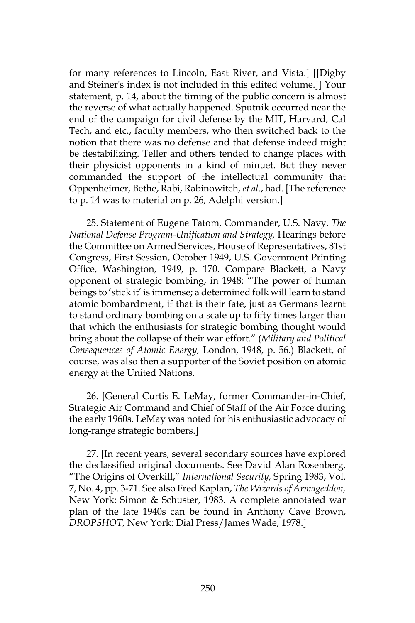for many references to Lincoln, East River, and Vista.] [[Digby and Steiner's index is not included in this edited volume.]] Your statement, p. 14, about the timing of the public concern is almost the reverse of what actually happened. Sputnik occurred near the end of the campaign for civil defense by the MIT, Harvard, Cal Tech, and etc., faculty members, who then switched back to the notion that there was no defense and that defense indeed might be destabilizing. Teller and others tended to change places with their physicist opponents in a kind of minuet. But they never commanded the support of the intellectual community that Oppenheimer, Bethe, Rabi, Rabinowitch, *et al*., had. [The reference to p. 14 was to material on p. 26, Adelphi version.]

25. Statement of Eugene Tatom, Commander, U.S. Navy. *The National Defense Program-Unification and Strategy,* Hearings before the Committee on Armed Services, House of Representatives, 81st Congress, First Session, October 1949, U.S. Government Printing Office, Washington, 1949, p. 170. Compare Blackett, a Navy opponent of strategic bombing, in 1948: "The power of human beings to 'stick it' is immense; a determined folk will learn to stand atomic bombardment, if that is their fate, just as Germans learnt to stand ordinary bombing on a scale up to fifty times larger than that which the enthusiasts for strategic bombing thought would bring about the collapse of their war effort." (*Military and Political Consequences of Atomic Energy,* London, 1948, p. 56.) Blackett, of course, was also then a supporter of the Soviet position on atomic energy at the United Nations.

26. [General Curtis E. LeMay, former Commander-in-Chief, Strategic Air Command and Chief of Staff of the Air Force during the early 1960s. LeMay was noted for his enthusiastic advocacy of long-range strategic bombers.]

27. [In recent years, several secondary sources have explored the declassified original documents. See David Alan Rosenberg, "The Origins of Overkill," *International Security,* Spring 1983, Vol. 7, No. 4, pp. 3-71. See also Fred Kaplan, *The Wizards of Armageddon,*  New York: Simon & Schuster, 1983. A complete annotated war plan of the late 1940s can be found in Anthony Cave Brown, *DROPSHOT,* New York: Dial Press/James Wade, 1978.]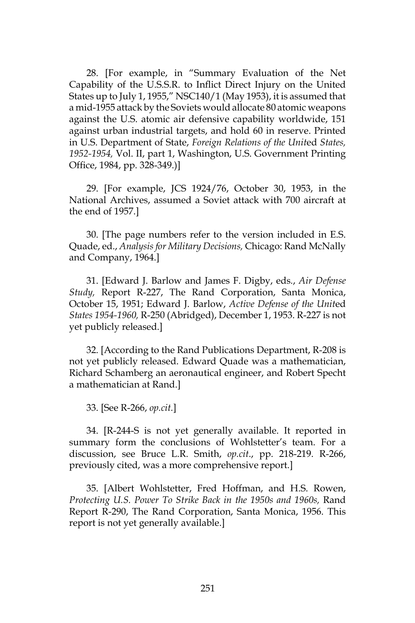28. [For example, in "Summary Evaluation of the Net Capability of the U.S.S.R. to Inflict Direct Injury on the United States up to July 1, 1955," NSC140/1 (May 1953), it is assumed that a mid-1955 attack by the Soviets would allocate 80 atomic weapons against the U.S. atomic air defensive capability worldwide, 151 against urban industrial targets, and hold 60 in reserve. Printed in U.S. Department of State, *Foreign Relations of the Unit*ed *States, 1952-1954,* Vol. II, part 1, Washington, U.S. Government Printing Office, 1984, pp. 328-349.)]

29. [For example, JCS 1924/76, October 30, 1953, in the National Archives, assumed a Soviet attack with 700 aircraft at the end of 1957.]

30. [The page numbers refer to the version included in E.S. Quade, ed., *Analysis for Military Decisions,* Chicago: Rand McNally and Company, 1964.]

31. [Edward J. Barlow and James F. Digby, eds*.*, *Air Defense Study,* Report R-227, The Rand Corporation, Santa Monica, October 15, 1951; Edward J. Barlow, *Active Defense of the Unit*ed *States 1954-1960,* R-250 (Abridged), December 1, 1953. R-227 is not yet publicly released.]

32. [According to the Rand Publications Department, R-208 is not yet publicly released. Edward Quade was a mathematician, Richard Schamberg an aeronautical engineer, and Robert Specht a mathematician at Rand.]

33. [See R-266, *op.cit.*]

34. [R-244-S is not yet generally available. It reported in summary form the conclusions of Wohlstetter's team. For a discussion, see Bruce L.R. Smith, *op.cit*., pp. 218-219. R-266, previously cited, was a more comprehensive report.]

35. [Albert Wohlstetter, Fred Hoffman, and H.S. Rowen, *Protecting U.S. Power To Strike Back in the 1950s and 1960s,* Rand Report R-290, The Rand Corporation, Santa Monica, 1956. This report is not yet generally available.]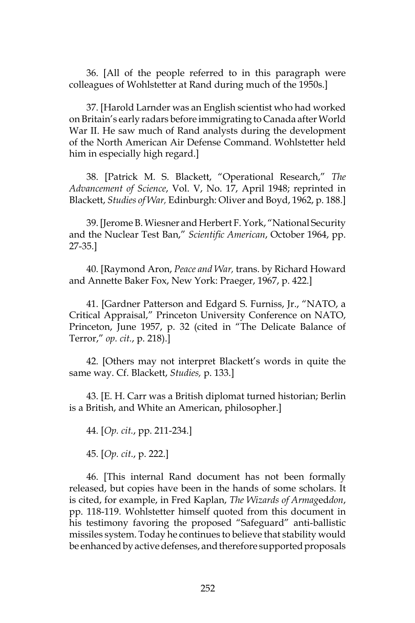36. [All of the people referred to in this paragraph were colleagues of Wohlstetter at Rand during much of the 1950s.]

37. [Harold Larnder was an English scientist who had worked on Britain's early radars before immigrating to Canada after World War II. He saw much of Rand analysts during the development of the North American Air Defense Command. Wohlstetter held him in especially high regard.]

38. [Patrick M. S. Blackett, "Operational Research," *The Advancement of Science*, Vol. V, No. 17, April 1948; reprinted in Blackett, *Studies of War,* Edinburgh: Oliver and Boyd, 1962, p. 188.]

39. [Jerome B. Wiesner and Herbert F. York, "National Security and the Nuclear Test Ban," *Scientific American*, October 1964, pp. 27-35.]

40. [Raymond Aron, *Peace and War,* trans. by Richard Howard and Annette Baker Fox, New York: Praeger, 1967, p. 422.]

41. [Gardner Patterson and Edgard S. Furniss, Jr., "NATO, a Critical Appraisal," Princeton University Conference on NATO, Princeton, June 1957, p. 32 (cited in "The Delicate Balance of Terror," *op. cit.*, p. 218).]

42. [Others may not interpret Blackett's words in quite the same way. Cf. Blackett, *Studies,* p. 133.]

43. [E. H. Carr was a British diplomat turned historian; Berlin is a British, and White an American, philosopher.]

44. [*Op. cit.*, pp. 211-234.]

45. [*Op. cit*., p. 222.]

46. [This internal Rand document has not been formally released, but copies have been in the hands of some scholars. It is cited, for example, in Fred Kaplan, *The Wizards of Armag*ed*don*, pp. 118-119. Wohlstetter himself quoted from this document in his testimony favoring the proposed "Safeguard" anti-ballistic missiles system. Today he continues to believe that stability would be enhanced by active defenses, and therefore supported proposals